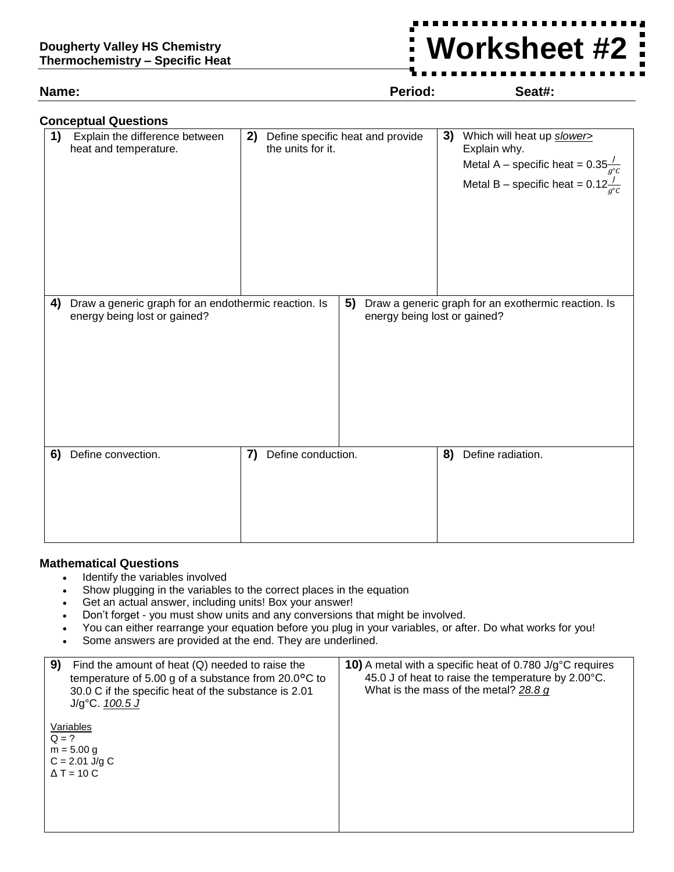**Name: Period: Seat#:**

**Worksheet #2**

| <b>Conceptual Questions</b> |                                                                                      |    |                                                       |    |                              |    |                                                                                                                                                             |
|-----------------------------|--------------------------------------------------------------------------------------|----|-------------------------------------------------------|----|------------------------------|----|-------------------------------------------------------------------------------------------------------------------------------------------------------------|
| 1)                          | Explain the difference between<br>heat and temperature.                              | 2) | Define specific heat and provide<br>the units for it. |    |                              | 3) | Which will heat up slower><br>Explain why.<br>Metal A – specific heat = $0.35\frac{J}{g^{\circ}c}$<br>Metal B – specific heat = $0.12 \frac{J}{g^{\circ}c}$ |
| 4)                          | Draw a generic graph for an endothermic reaction. Is<br>energy being lost or gained? |    |                                                       | 5) | energy being lost or gained? |    | Draw a generic graph for an exothermic reaction. Is                                                                                                         |
| 6)                          | Define convection.                                                                   | 7) | Define conduction.                                    |    |                              | 8) | Define radiation.                                                                                                                                           |

## **Mathematical Questions**

- Identify the variables involved
- Show plugging in the variables to the correct places in the equation
- Get an actual answer, including units! Box your answer!
- Don't forget you must show units and any conversions that might be involved.
- You can either rearrange your equation before you plug in your variables, or after. Do what works for you!
- Some answers are provided at the end. They are underlined.

| 9)<br>Find the amount of heat $(Q)$ needed to raise the<br>temperature of 5.00 g of a substance from $20.0$ °C to<br>30.0 C if the specific heat of the substance is 2.01<br>$J/g^{\circ}C. 100.5 J$ | <b>10)</b> A metal with a specific heat of 0.780 J/g $^{\circ}$ C requires<br>45.0 J of heat to raise the temperature by 2.00°C.<br>What is the mass of the metal? 28.8 g |
|------------------------------------------------------------------------------------------------------------------------------------------------------------------------------------------------------|---------------------------------------------------------------------------------------------------------------------------------------------------------------------------|
| Variables<br>$Q = ?$<br>$m = 5.00 g$<br>$C = 2.01$ J/g C<br>$\Delta T = 10 C$                                                                                                                        |                                                                                                                                                                           |